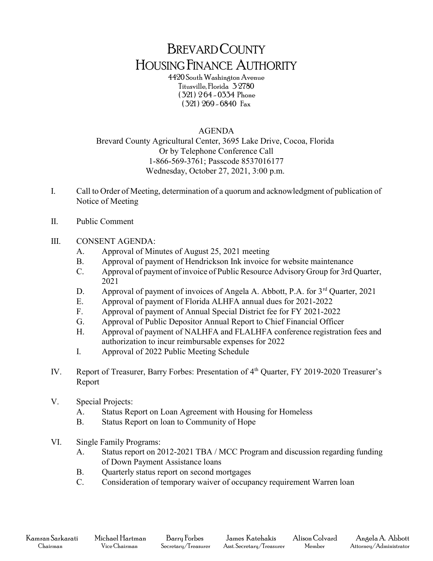## BREVARD COUNTY HOUSING FINANCE AUTHORITY

4420 South Washington Avenue Titusville, Florida 3 2780 ( 321 ) 2 64 - 0334 Phone ( 321 ) 269 - 6840 Fax

## AGENDA

Brevard County Agricultural Center, 3695 Lake Drive, Cocoa, Florida Or by Telephone Conference Call 1-866-569-3761; Passcode 8537016177 Wednesday, October 27, 2021, 3:00 p.m.

- I. Call to Order of Meeting, determination of a quorum and acknowledgment of publication of Notice of Meeting
- II. Public Comment
- III. CONSENT AGENDA:
	- A. Approval of Minutes of August 25, 2021 meeting
	- B. Approval of payment of Hendrickson Ink invoice for website maintenance
	- C. Approval of payment of invoice of Public Resource Advisory Group for 3rd Quarter, 2021
	- D. Approval of payment of invoices of Angela A. Abbott, P.A. for 3<sup>rd</sup> Quarter, 2021
	- E. Approval of payment of Florida ALHFA annual dues for 2021-2022
	- F. Approval of payment of Annual Special District fee for FY 2021-2022
	- G. Approval of Public Depositor Annual Report to Chief Financial Officer
	- H. Approval of payment of NALHFA and FLALHFA conference registration fees and authorization to incur reimbursable expenses for 2022
	- I. Approval of 2022 Public Meeting Schedule
- IV. Report of Treasurer, Barry Forbes: Presentation of 4<sup>th</sup> Quarter, FY 2019-2020 Treasurer's Report
- V. Special Projects:
	- A. Status Report on Loan Agreement with Housing for Homeless
	- B. Status Report on loan to Community of Hope
- VI. Single Family Programs:
	- A. Status report on 2012-2021 TBA / MCC Program and discussion regarding funding of Down Payment Assistance loans
	- B. Quarterly status report on second mortgages
	- C. Consideration of temporary waiver of occupancy requirement Warren loan